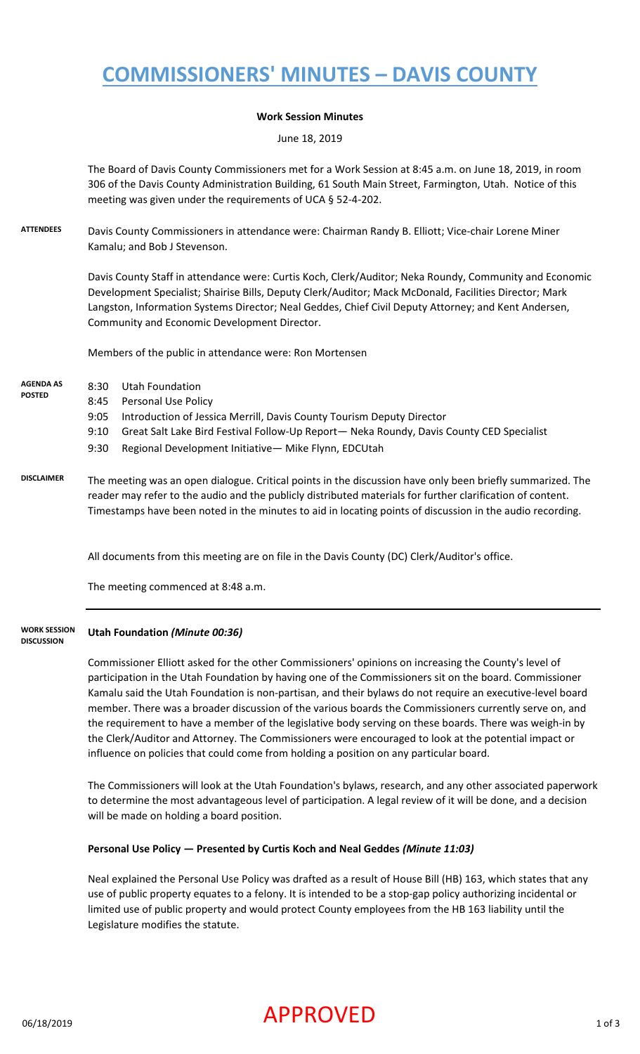# **COMMISSIONERS' MINUTES – DAVIS COUNTY**

#### **Work Session Minutes**

June 18, 2019

The Board of Davis County Commissioners met for a Work Session at 8:45 a.m. on June 18, 2019, in room 306 of the Davis County Administration Building, 61 South Main Street, Farmington, Utah. Notice of this meeting was given under the requirements of UCA § 52-4-202.

**ATTENDEES** Davis County Commissioners in attendance were: Chairman Randy B. Elliott; Vice-chair Lorene Miner Kamalu; and Bob J Stevenson.

> Davis County Staff in attendance were: Curtis Koch, Clerk/Auditor; Neka Roundy, Community and Economic Development Specialist; Shairise Bills, Deputy Clerk/Auditor; Mack McDonald, Facilities Director; Mark Langston, Information Systems Director; Neal Geddes, Chief Civil Deputy Attorney; and Kent Andersen, Community and Economic Development Director.

Members of the public in attendance were: Ron Mortensen

- 8:30 Utah Foundation **AGENDA AS POSTED**
	- 8:45 Personal Use Policy
		- 9:05 Introduction of Jessica Merrill, Davis County Tourism Deputy Director
		- 9:10 Great Salt Lake Bird Festival Follow-Up Report— Neka Roundy, Davis County CED Specialist
			- 9:30 Regional Development Initiative— Mike Flynn, EDCUtah
- **DISCLAIMER** The meeting was an open dialogue. Critical points in the discussion have only been briefly summarized. The reader may refer to the audio and the publicly distributed materials for further clarification of content. Timestamps have been noted in the minutes to aid in locating points of discussion in the audio recording.

All documents from this meeting are on file in the Davis County (DC) Clerk/Auditor's office.

The meeting commenced at 8:48 a.m.

#### **Utah Foundation** *(Minute 00:36)* **WORK SESSION DISCUSSION**

Commissioner Elliott asked for the other Commissioners' opinions on increasing the County's level of participation in the Utah Foundation by having one of the Commissioners sit on the board. Commissioner Kamalu said the Utah Foundation is non-partisan, and their bylaws do not require an executive-level board member. There was a broader discussion of the various boards the Commissioners currently serve on, and the requirement to have a member of the legislative body serving on these boards. There was weigh-in by the Clerk/Auditor and Attorney. The Commissioners were encouraged to look at the potential impact or influence on policies that could come from holding a position on any particular board.

The Commissioners will look at the Utah Foundation's bylaws, research, and any other associated paperwork to determine the most advantageous level of participation. A legal review of it will be done, and a decision will be made on holding a board position.

#### **Personal Use Policy — Presented by Curtis Koch and Neal Geddes** *(Minute 11:03)*

Neal explained the Personal Use Policy was drafted as a result of House Bill (HB) 163, which states that any use of public property equates to a felony. It is intended to be a stop-gap policy authorizing incidental or limited use of public property and would protect County employees from the HB 163 liability until the Legislature modifies the statute.

### $APPROVED$  1 of 3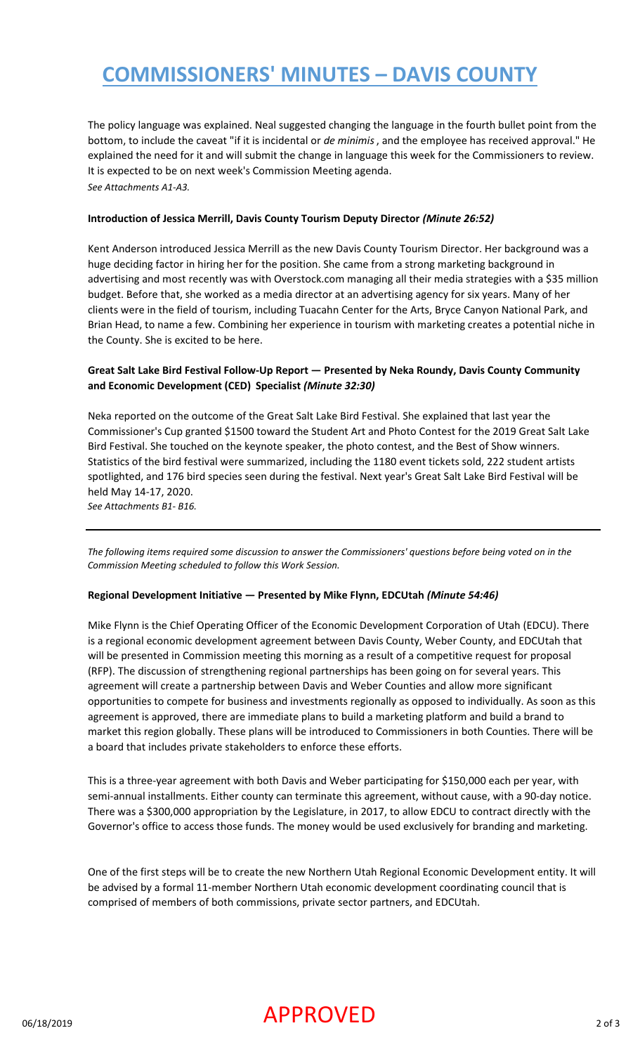# **COMMISSIONERS' MINUTES – DAVIS COUNTY**

The policy language was explained. Neal suggested changing the language in the fourth bullet point from the bottom, to include the caveat "if it is incidental or *de minimis*, and the employee has received approval." He explained the need for it and will submit the change in language this week for the Commissioners to review. It is expected to be on next week's Commission Meeting agenda. *See Attachments A1-A3.*

#### **Introduction of Jessica Merrill, Davis County Tourism Deputy Director** *(Minute 26:52)*

Kent Anderson introduced Jessica Merrill as the new Davis County Tourism Director. Her background was a huge deciding factor in hiring her for the position. She came from a strong marketing background in advertising and most recently was with Overstock.com managing all their media strategies with a \$35 million budget. Before that, she worked as a media director at an advertising agency for six years. Many of her clients were in the field of tourism, including Tuacahn Center for the Arts, Bryce Canyon National Park, and Brian Head, to name a few. Combining her experience in tourism with marketing creates a potential niche in the County. She is excited to be here.

### **Great Salt Lake Bird Festival Follow-Up Report — Presented by Neka Roundy, Davis County Community and Economic Development (CED) Specialist** *(Minute 32:30)*

Neka reported on the outcome of the Great Salt Lake Bird Festival. She explained that last year the Commissioner's Cup granted \$1500 toward the Student Art and Photo Contest for the 2019 Great Salt Lake Bird Festival. She touched on the keynote speaker, the photo contest, and the Best of Show winners. Statistics of the bird festival were summarized, including the 1180 event tickets sold, 222 student artists spotlighted, and 176 bird species seen during the festival. Next year's Great Salt Lake Bird Festival will be held May 14-17, 2020.

*See Attachments B1- B16.*

*The following items required some discussion to answer the Commissioners' questions before being voted on in the Commission Meeting scheduled to follow this Work Session.*

#### **Regional Development Initiative — Presented by Mike Flynn, EDCUtah** *(Minute 54:46)*

Mike Flynn is the Chief Operating Officer of the Economic Development Corporation of Utah (EDCU). There is a regional economic development agreement between Davis County, Weber County, and EDCUtah that will be presented in Commission meeting this morning as a result of a competitive request for proposal (RFP). The discussion of strengthening regional partnerships has been going on for several years. This agreement will create a partnership between Davis and Weber Counties and allow more significant opportunities to compete for business and investments regionally as opposed to individually. As soon as this agreement is approved, there are immediate plans to build a marketing platform and build a brand to market this region globally. These plans will be introduced to Commissioners in both Counties. There will be a board that includes private stakeholders to enforce these efforts.

This is a three-year agreement with both Davis and Weber participating for \$150,000 each per year, with semi-annual installments. Either county can terminate this agreement, without cause, with a 90-day notice. There was a \$300,000 appropriation by the Legislature, in 2017, to allow EDCU to contract directly with the Governor's office to access those funds. The money would be used exclusively for branding and marketing.

One of the first steps will be to create the new Northern Utah Regional Economic Development entity. It will be advised by a formal 11-member Northern Utah economic development coordinating council that is comprised of members of both commissions, private sector partners, and EDCUtah.

### $APPROVED$  2 of 3